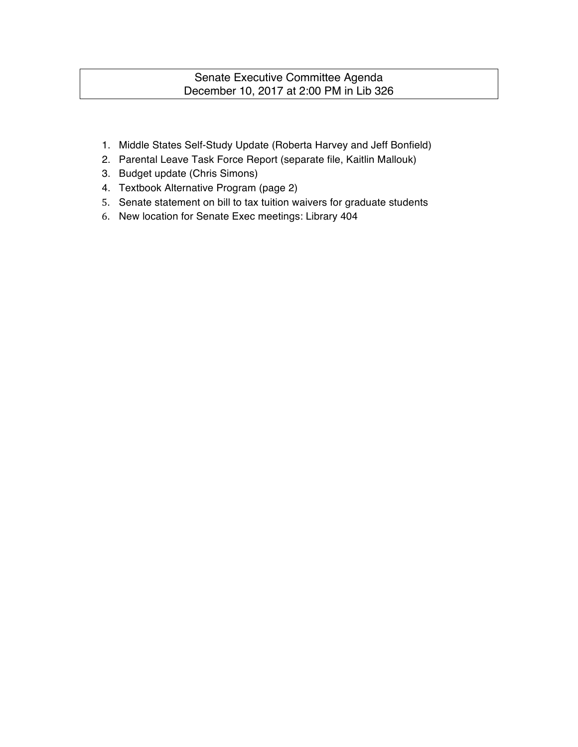### Senate Executive Committee Agenda December 10, 2017 at 2:00 PM in Lib 326

- 1. Middle States Self-Study Update (Roberta Harvey and Jeff Bonfield)
- 2. Parental Leave Task Force Report (separate file, Kaitlin Mallouk)
- 3. Budget update (Chris Simons)
- 4. Textbook Alternative Program (page 2)
- 5. Senate statement on bill to tax tuition waivers for graduate students
- 6. New location for Senate Exec meetings: Library 404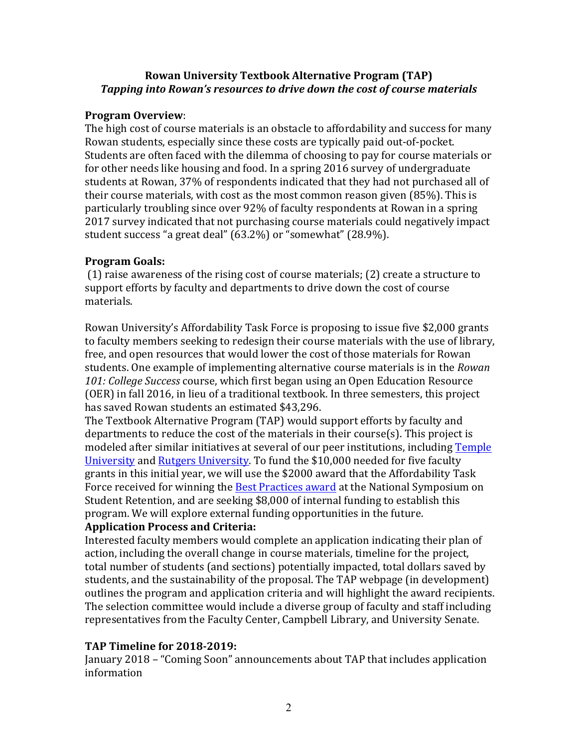#### **Rowan University Textbook Alternative Program (TAP) Tapping into Rowan's resources to drive down the cost of course materials**

#### **Program Overview**:

The high cost of course materials is an obstacle to affordability and success for many Rowan students, especially since these costs are typically paid out-of-pocket. Students are often faced with the dilemma of choosing to pay for course materials or for other needs like housing and food. In a spring 2016 survey of undergraduate students at Rowan, 37% of respondents indicated that they had not purchased all of their course materials, with cost as the most common reason given  $(85\%)$ . This is particularly troubling since over 92% of faculty respondents at Rowan in a spring 2017 survey indicated that not purchasing course materials could negatively impact student success "a great deal" (63.2%) or "somewhat" (28.9%).

### **Program Goals:**

(1) raise awareness of the rising cost of course materials; (2) create a structure to support efforts by faculty and departments to drive down the cost of course materials. 

Rowan University's Affordability Task Force is proposing to issue five \$2,000 grants to faculty members seeking to redesign their course materials with the use of library, free, and open resources that would lower the cost of those materials for Rowan students. One example of implementing alternative course materials is in the *Rowan* 101: College Success course, which first began using an Open Education Resource (OER) in fall 2016, in lieu of a traditional textbook. In three semesters, this project has saved Rowan students an estimated \$43,296.

The Textbook Alternative Program (TAP) would support efforts by faculty and departments to reduce the cost of the materials in their course(s). This project is modeled after similar initiatives at several of our peer institutions, including Temple University and Rutgers University. To fund the \$10,000 needed for five faculty grants in this initial year, we will use the \$2000 award that the Affordability Task Force received for winning the **Best Practices award** at the National Symposium on Student Retention, and are seeking \$8,000 of internal funding to establish this program. We will explore external funding opportunities in the future.

# **Application Process and Criteria:**

Interested faculty members would complete an application indicating their plan of action, including the overall change in course materials, timeline for the project, total number of students (and sections) potentially impacted, total dollars saved by students, and the sustainability of the proposal. The TAP webpage (in development) outlines the program and application criteria and will highlight the award recipients. The selection committee would include a diverse group of faculty and staff including representatives from the Faculty Center, Campbell Library, and University Senate.

# **TAP Timeline for 2018-2019:**

January 2018 – "Coming Soon" announcements about TAP that includes application information